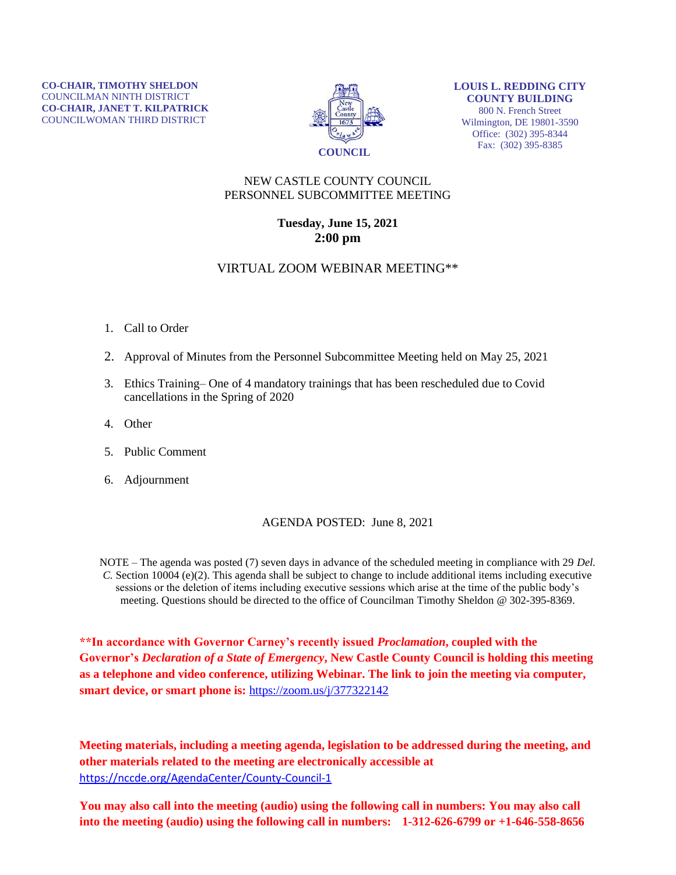

**LOUIS L. REDDING CITY COUNTY BUILDING** 800 N. French Street Wilmington, DE 19801-3590 Office: (302) 395-8344 Fax: (302) 395-8385

## NEW CASTLE COUNTY COUNCIL PERSONNEL SUBCOMMITTEE MEETING

## **Tuesday, June 15, 2021 2:00 pm**

## VIRTUAL ZOOM WEBINAR MEETING\*\*

- 1. Call to Order
- 2. Approval of Minutes from the Personnel Subcommittee Meeting held on May 25, 2021
- 3. Ethics Training– One of 4 mandatory trainings that has been rescheduled due to Covid cancellations in the Spring of 2020
- 4. Other
- 5. Public Comment
- 6. Adjournment

## AGENDA POSTED: June 8, 2021

NOTE – The agenda was posted (7) seven days in advance of the scheduled meeting in compliance with 29 *Del. C.* Section 10004 (e)(2). This agenda shall be subject to change to include additional items including executive sessions or the deletion of items including executive sessions which arise at the time of the public body's meeting. Questions should be directed to the office of Councilman Timothy Sheldon @ 302-395-8369.

**\*\*In accordance with Governor Carney's recently issued** *Proclamation***, coupled with the Governor's** *Declaration of a State of Emergency***, New Castle County Council is holding this meeting as a telephone and video conference, utilizing Webinar. The link to join the meeting via computer, smart device, or smart phone is:** <https://zoom.us/j/377322142>

**Meeting materials, including a meeting agenda, legislation to be addressed during the meeting, and other materials related to the meeting are electronically accessible at**  <https://nccde.org/AgendaCenter/County-Council-1>

**You may also call into the meeting (audio) using the following call in numbers: You may also call into the meeting (audio) using the following call in numbers: 1-312-626-6799 or +1-646-558-8656**